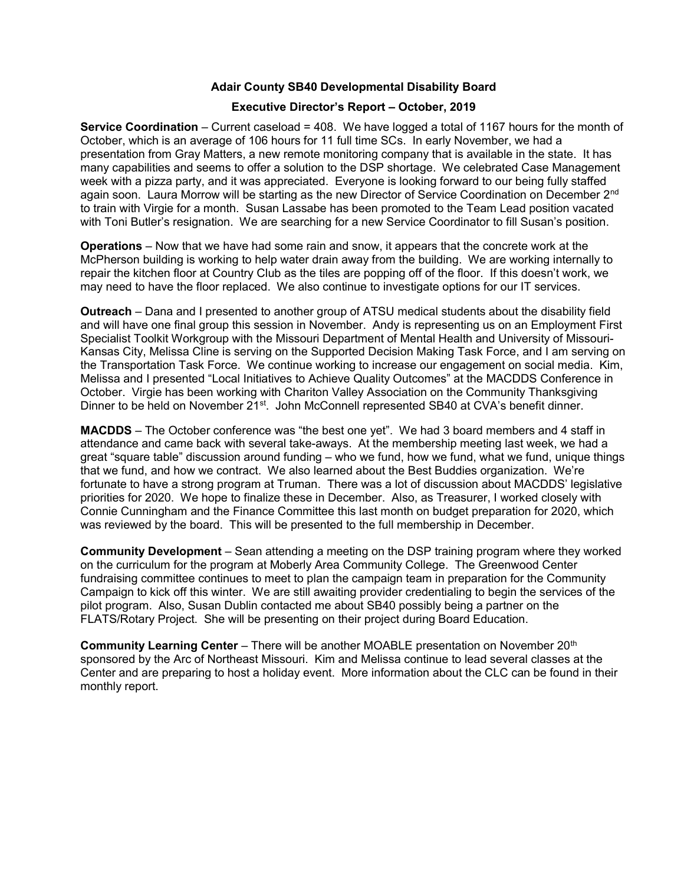## Adair County SB40 Developmental Disability Board

## Executive Director's Report – October, 2019

Service Coordination – Current caseload = 408. We have logged a total of 1167 hours for the month of October, which is an average of 106 hours for 11 full time SCs. In early November, we had a presentation from Gray Matters, a new remote monitoring company that is available in the state. It has many capabilities and seems to offer a solution to the DSP shortage. We celebrated Case Management week with a pizza party, and it was appreciated. Everyone is looking forward to our being fully staffed again soon. Laura Morrow will be starting as the new Director of Service Coordination on December 2<sup>nd</sup> to train with Virgie for a month. Susan Lassabe has been promoted to the Team Lead position vacated with Toni Butler's resignation. We are searching for a new Service Coordinator to fill Susan's position.

Operations – Now that we have had some rain and snow, it appears that the concrete work at the McPherson building is working to help water drain away from the building. We are working internally to repair the kitchen floor at Country Club as the tiles are popping off of the floor. If this doesn't work, we may need to have the floor replaced. We also continue to investigate options for our IT services.

Outreach – Dana and I presented to another group of ATSU medical students about the disability field and will have one final group this session in November. Andy is representing us on an Employment First Specialist Toolkit Workgroup with the Missouri Department of Mental Health and University of Missouri-Kansas City, Melissa Cline is serving on the Supported Decision Making Task Force, and I am serving on the Transportation Task Force. We continue working to increase our engagement on social media. Kim, Melissa and I presented "Local Initiatives to Achieve Quality Outcomes" at the MACDDS Conference in October. Virgie has been working with Chariton Valley Association on the Community Thanksgiving Dinner to be held on November 21<sup>st</sup>. John McConnell represented SB40 at CVA's benefit dinner.

MACDDS – The October conference was "the best one yet". We had 3 board members and 4 staff in attendance and came back with several take-aways. At the membership meeting last week, we had a great "square table" discussion around funding – who we fund, how we fund, what we fund, unique things that we fund, and how we contract. We also learned about the Best Buddies organization. We're fortunate to have a strong program at Truman. There was a lot of discussion about MACDDS' legislative priorities for 2020. We hope to finalize these in December. Also, as Treasurer, I worked closely with Connie Cunningham and the Finance Committee this last month on budget preparation for 2020, which was reviewed by the board. This will be presented to the full membership in December.

Community Development – Sean attending a meeting on the DSP training program where they worked on the curriculum for the program at Moberly Area Community College. The Greenwood Center fundraising committee continues to meet to plan the campaign team in preparation for the Community Campaign to kick off this winter. We are still awaiting provider credentialing to begin the services of the pilot program. Also, Susan Dublin contacted me about SB40 possibly being a partner on the FLATS/Rotary Project. She will be presenting on their project during Board Education.

Community Learning Center – There will be another MOABLE presentation on November 20th sponsored by the Arc of Northeast Missouri. Kim and Melissa continue to lead several classes at the Center and are preparing to host a holiday event. More information about the CLC can be found in their monthly report.